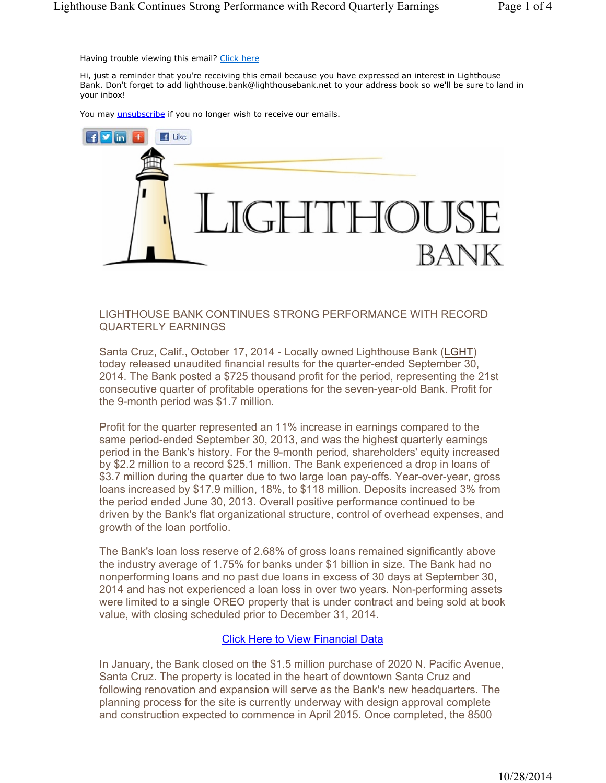Having trouble viewing this email? Click here

Hi, just a reminder that you're receiving this email because you have expressed an interest in Lighthouse Bank. Don't forget to add lighthouse.bank@lighthousebank.net to your address book so we'll be sure to land in your inbox!

You may *unsubscribe* if you no longer wish to receive our emails.



## LIGHTHOUSE BANK CONTINUES STRONG PERFORMANCE WITH RECORD QUARTERLY EARNINGS

Santa Cruz, Calif., October 17, 2014 - Locally owned Lighthouse Bank (LGHT) today released unaudited financial results for the quarter-ended September 30, 2014. The Bank posted a \$725 thousand profit for the period, representing the 21st consecutive quarter of profitable operations for the seven-year-old Bank. Profit for the 9-month period was \$1.7 million.

Profit for the quarter represented an 11% increase in earnings compared to the same period-ended September 30, 2013, and was the highest quarterly earnings period in the Bank's history. For the 9-month period, shareholders' equity increased by \$2.2 million to a record \$25.1 million. The Bank experienced a drop in loans of \$3.7 million during the quarter due to two large loan pay-offs. Year-over-year, gross loans increased by \$17.9 million, 18%, to \$118 million. Deposits increased 3% from the period ended June 30, 2013. Overall positive performance continued to be driven by the Bank's flat organizational structure, control of overhead expenses, and growth of the loan portfolio.

The Bank's loan loss reserve of 2.68% of gross loans remained significantly above the industry average of 1.75% for banks under \$1 billion in size. The Bank had no nonperforming loans and no past due loans in excess of 30 days at September 30, 2014 and has not experienced a loan loss in over two years. Non-performing assets were limited to a single OREO property that is under contract and being sold at book value, with closing scheduled prior to December 31, 2014.

## Click Here to View Financial Data

In January, the Bank closed on the \$1.5 million purchase of 2020 N. Pacific Avenue, Santa Cruz. The property is located in the heart of downtown Santa Cruz and following renovation and expansion will serve as the Bank's new headquarters. The planning process for the site is currently underway with design approval complete and construction expected to commence in April 2015. Once completed, the 8500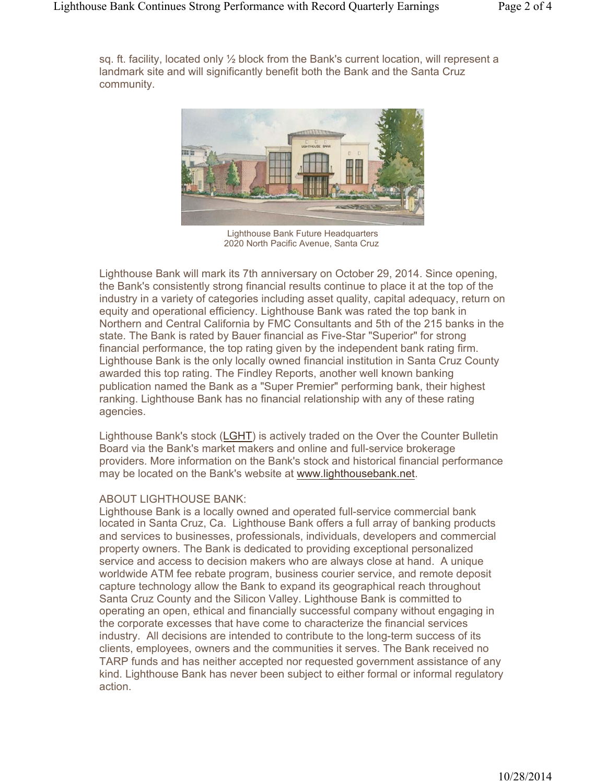sq. ft. facility, located only  $\frac{1}{2}$  block from the Bank's current location, will represent a landmark site and will significantly benefit both the Bank and the Santa Cruz community.



Lighthouse Bank Future Headquarters 2020 North Pacific Avenue, Santa Cruz

Lighthouse Bank will mark its 7th anniversary on October 29, 2014. Since opening, the Bank's consistently strong financial results continue to place it at the top of the industry in a variety of categories including asset quality, capital adequacy, return on equity and operational efficiency. Lighthouse Bank was rated the top bank in Northern and Central California by FMC Consultants and 5th of the 215 banks in the state. The Bank is rated by Bauer financial as Five-Star "Superior" for strong financial performance, the top rating given by the independent bank rating firm. Lighthouse Bank is the only locally owned financial institution in Santa Cruz County awarded this top rating. The Findley Reports, another well known banking publication named the Bank as a "Super Premier" performing bank, their highest ranking. Lighthouse Bank has no financial relationship with any of these rating agencies.

Lighthouse Bank's stock (LGHT) is actively traded on the Over the Counter Bulletin Board via the Bank's market makers and online and full-service brokerage providers. More information on the Bank's stock and historical financial performance may be located on the Bank's website at www.lighthousebank.net.

## ABOUT LIGHTHOUSE BANK:

Lighthouse Bank is a locally owned and operated full-service commercial bank located in Santa Cruz, Ca. Lighthouse Bank offers a full array of banking products and services to businesses, professionals, individuals, developers and commercial property owners. The Bank is dedicated to providing exceptional personalized service and access to decision makers who are always close at hand. A unique worldwide ATM fee rebate program, business courier service, and remote deposit capture technology allow the Bank to expand its geographical reach throughout Santa Cruz County and the Silicon Valley. Lighthouse Bank is committed to operating an open, ethical and financially successful company without engaging in the corporate excesses that have come to characterize the financial services industry. All decisions are intended to contribute to the long-term success of its clients, employees, owners and the communities it serves. The Bank received no TARP funds and has neither accepted nor requested government assistance of any kind. Lighthouse Bank has never been subject to either formal or informal regulatory action.